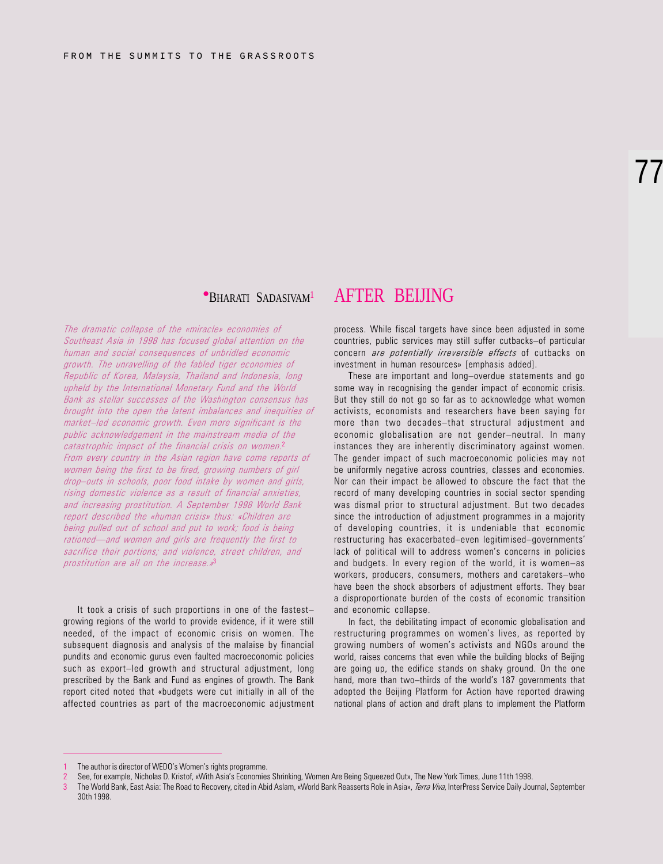# 77

### **PBHARATI SADASIVAM<sup>1</sup> AFTER BELJING**

The dramatic collapse of the «miracle» economies of Southeast Asia in 1998 has focused global attention on the human and social consequences of unbridled economic growth. The unravelling of the fabled tiger economies of Republic of Korea, Malaysia, Thailand and Indonesia, long upheld by the International Monetary Fund and the World Bank as stellar successes of the Washington consensus has brought into the open the latent imbalances and inequities of market-led economic growth. Even more significant is the public acknowledgement in the mainstream media of the catastrophic impact of the financial crisis on women.<sup>2</sup> From every country in the Asian region have come reports of women being the first to be fired, growing numbers of girl drop-outs in schools, poor food intake by women and girls, rising domestic violence as a result of financial anxieties, and increasing prostitution. A September 1998 World Bank report described the «human crisis» thus: «Children are being pulled out of school and put to work; food is being rationed—and women and girls are frequently the first to sacrifice their portions; and violence, street children, and prostitution are all on the increase.»<sup>3</sup>

It took a crisis of such proportions in one of the fastest growing regions of the world to provide evidence, if it were still needed, of the impact of economic crisis on women. The subsequent diagnosis and analysis of the malaise by financial pundits and economic gurus even faulted macroeconomic policies such as export-led growth and structural adjustment, long prescribed by the Bank and Fund as engines of growth. The Bank report cited noted that «budgets were cut initially in all of the affected countries as part of the macroeconomic adjustment

process. While fiscal targets have since been adjusted in some countries, public services may still suffer cutbacks-of particular concern *are potentially irreversible effects* of cutbacks on investment in human resources» [emphasis added].

These are important and long-overdue statements and go some way in recognising the gender impact of economic crisis. But they still do not go so far as to acknowledge what women activists, economists and researchers have been saying for more than two decades-that structural adjustment and economic globalisation are not gender-neutral. In many instances they are inherently discriminatory against women. The gender impact of such macroeconomic policies may not be uniformly negative across countries, classes and economies. Nor can their impact be allowed to obscure the fact that the record of many developing countries in social sector spending was dismal prior to structural adjustment. But two decades since the introduction of adjustment programmes in a majority of developing countries, it is undeniable that economic restructuring has exacerbated-even legitimised-governments' lack of political will to address women's concerns in policies and budgets. In every region of the world, it is women-as workers, producers, consumers, mothers and caretakers-who have been the shock absorbers of adjustment efforts. They bear a disproportionate burden of the costs of economic transition and economic collapse.

In fact, the debilitating impact of economic globalisation and restructuring programmes on women's lives, as reported by growing numbers of women's activists and NGOs around the world, raises concerns that even while the building blocks of Beijing are going up, the edifice stands on shaky ground. On the one hand, more than two-thirds of the world's 187 governments that adopted the Beijing Platform for Action have reported drawing national plans of action and draft plans to implement the Platform

The author is director of WEDO's Women's rights programme.

See, for example, Nicholas D. Kristof, «With Asia's Economies Shrinking, Women Are Being Squeezed Out», The New York Times, June 11th 1998.

The World Bank, East Asia: The Road to Recovery, cited in Abid Aslam, «World Bank Reasserts Role in Asia», Terra Viva, InterPress Service Daily Journal, September 30th 1998.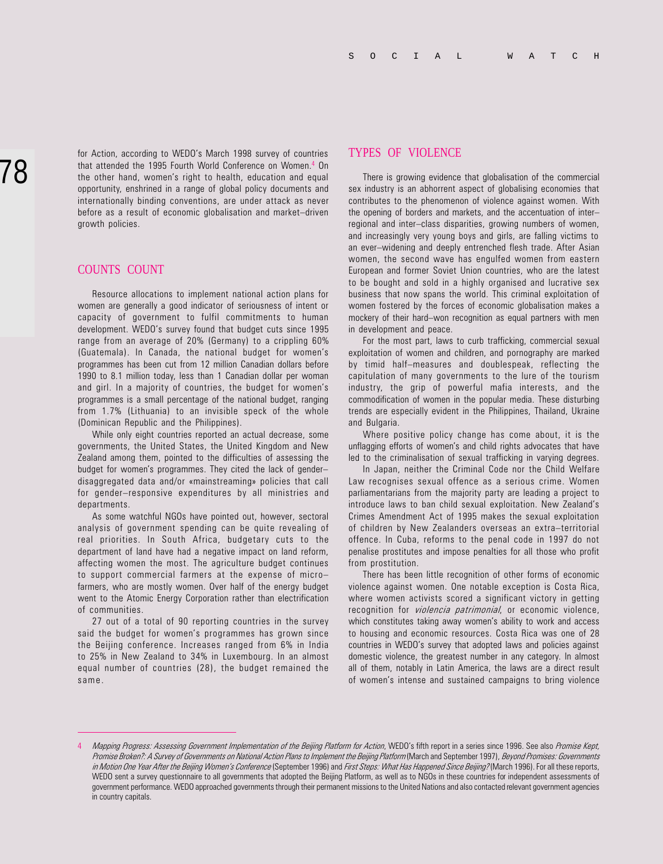for Action, according to WEDO's March 1998 survey of countries that attended the 1995 Fourth World Conference on Women.<sup>4</sup> On the other hand, women's right to health, education and equal opportunity, enshrined in a range of global policy documents and internationally binding conventions, are under attack as never before as a result of economic globalisation and market-driven growth policies.

#### COUNTS COUNT

Resource allocations to implement national action plans for women are generally a good indicator of seriousness of intent or capacity of government to fulfil commitments to human development. WEDO's survey found that budget cuts since 1995 range from an average of 20% (Germany) to a crippling 60% (Guatemala). In Canada, the national budget for women's programmes has been cut from 12 million Canadian dollars before 1990 to 8.1 million today, less than 1 Canadian dollar per woman and girl. In a majority of countries, the budget for women's programmes is a small percentage of the national budget, ranging from 1.7% (Lithuania) to an invisible speck of the whole (Dominican Republic and the Philippines).

While only eight countries reported an actual decrease, some governments, the United States, the United Kingdom and New Zealand among them, pointed to the difficulties of assessing the budget for women's programmes. They cited the lack of genderdisaggregated data and/or «mainstreaming» policies that call for gender-responsive expenditures by all ministries and departments.

As some watchful NGOs have pointed out, however, sectoral analysis of government spending can be quite revealing of real priorities. In South Africa, budgetary cuts to the department of land have had a negative impact on land reform, affecting women the most. The agriculture budget continues to support commercial farmers at the expense of micro farmers, who are mostly women. Over half of the energy budget went to the Atomic Energy Corporation rather than electrification of communities.

27 out of a total of 90 reporting countries in the survey said the budget for women's programmes has grown since the Beijing conference. Increases ranged from 6% in India to 25% in New Zealand to 34% in Luxembourg. In an almost equal number of countries (28), the budget remained the same.

#### TYPES OF VIOLENCE

There is growing evidence that globalisation of the commercial sex industry is an abhorrent aspect of globalising economies that contributes to the phenomenon of violence against women. With the opening of borders and markets, and the accentuation of inter regional and inter-class disparities, growing numbers of women, and increasingly very young boys and girls, are falling victims to an ever-widening and deeply entrenched flesh trade. After Asian women, the second wave has engulfed women from eastern European and former Soviet Union countries, who are the latest to be bought and sold in a highly organised and lucrative sex business that now spans the world. This criminal exploitation of women fostered by the forces of economic globalisation makes a mockery of their hard-won recognition as equal partners with men in development and peace.

For the most part, laws to curb trafficking, commercial sexual exploitation of women and children, and pornography are marked by timid half-measures and doublespeak, reflecting the capitulation of many governments to the lure of the tourism industry, the grip of powerful mafia interests, and the commodification of women in the popular media. These disturbing trends are especially evident in the Philippines, Thailand, Ukraine and Bulgaria.

Where positive policy change has come about, it is the unflagging efforts of women's and child rights advocates that have led to the criminalisation of sexual trafficking in varying degrees.

In Japan, neither the Criminal Code nor the Child Welfare Law recognises sexual offence as a serious crime. Women parliamentarians from the majority party are leading a project to introduce laws to ban child sexual exploitation. New Zealand's Crimes Amendment Act of 1995 makes the sexual exploitation of children by New Zealanders overseas an extra-territorial offence. In Cuba, reforms to the penal code in 1997 do not penalise prostitutes and impose penalties for all those who profit from prostitution.

There has been little recognition of other forms of economic violence against women. One notable exception is Costa Rica, where women activists scored a significant victory in getting recognition for *violencia patrimonial*, or economic violence, which constitutes taking away women's ability to work and access to housing and economic resources. Costa Rica was one of 28 countries in WEDO's survey that adopted laws and policies against domestic violence, the greatest number in any category. In almost all of them, notably in Latin America, the laws are a direct result of women's intense and sustained campaigns to bring violence

Mapping Progress: Assessing Government Implementation of the Beijing Platform for Action, WEDO's fifth report in a series since 1996. See also Promise Kept, Promise Broken?: A Survey of Governments on National Action Plans to Implement the Beijing Platform (March and September 1997), Beyond Promises: Governments in Motion One Year After the Beijing Women's Conference (September 1996) and First Steps: What Has Happened Since Beijing? (March 1996). For all these reports, WEDO sent a survey questionnaire to all governments that adopted the Beijing Platform, as well as to NGOs in these countries for independent assessments of government performance. WEDO approached governments through their permanent missions to the United Nations and also contacted relevant government agencies in country capitals.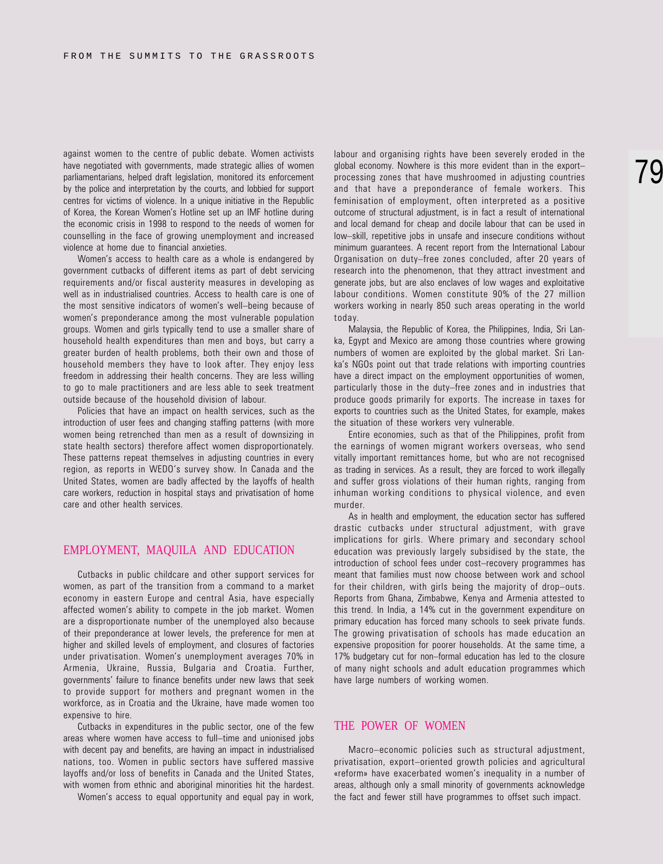against women to the centre of public debate. Women activists have negotiated with governments, made strategic allies of women parliamentarians, helped draft legislation, monitored its enforcement by the police and interpretation by the courts, and lobbied for support centres for victims of violence. In a unique initiative in the Republic of Korea, the Korean Women's Hotline set up an IMF hotline during the economic crisis in 1998 to respond to the needs of women for counselling in the face of growing unemployment and increased violence at home due to financial anxieties.

Women's access to health care as a whole is endangered by government cutbacks of different items as part of debt servicing requirements and/or fiscal austerity measures in developing as well as in industrialised countries. Access to health care is one of the most sensitive indicators of women's well-being because of women's preponderance among the most vulnerable population groups. Women and girls typically tend to use a smaller share of household health expenditures than men and boys, but carry a greater burden of health problems, both their own and those of household members they have to look after. They enjoy less freedom in addressing their health concerns. They are less willing to go to male practitioners and are less able to seek treatment outside because of the household division of labour.

Policies that have an impact on health services, such as the introduction of user fees and changing staffing patterns (with more women being retrenched than men as a result of downsizing in state health sectors) therefore affect women disproportionately. These patterns repeat themselves in adjusting countries in every region, as reports in WEDO's survey show. In Canada and the United States, women are badly affected by the layoffs of health care workers, reduction in hospital stays and privatisation of home care and other health services.

#### EMPLOYMENT, MAQUILA AND EDUCATION

Cutbacks in public childcare and other support services for women, as part of the transition from a command to a market economy in eastern Europe and central Asia, have especially affected women's ability to compete in the job market. Women are a disproportionate number of the unemployed also because of their preponderance at lower levels, the preference for men at higher and skilled levels of employment, and closures of factories under privatisation. Women's unemployment averages 70% in Armenia, Ukraine, Russia, Bulgaria and Croatia. Further, governments' failure to finance benefits under new laws that seek to provide support for mothers and pregnant women in the workforce, as in Croatia and the Ukraine, have made women too expensive to hire.

Cutbacks in expenditures in the public sector, one of the few areas where women have access to full-time and unionised jobs with decent pay and benefits, are having an impact in industrialised nations, too. Women in public sectors have suffered massive layoffs and/or loss of benefits in Canada and the United States, with women from ethnic and aboriginal minorities hit the hardest.

Women's access to equal opportunity and equal pay in work,

labour and organising rights have been severely eroded in the global economy. Nowhere is this more evident than in the export processing zones that have mushroomed in adjusting countries and that have a preponderance of female workers. This feminisation of employment, often interpreted as a positive outcome of structural adjustment, is in fact a result of international and local demand for cheap and docile labour that can be used in low-skill, repetitive jobs in unsafe and insecure conditions without minimum guarantees. A recent report from the International Labour Organisation on duty-free zones concluded, after 20 years of research into the phenomenon, that they attract investment and generate jobs, but are also enclaves of low wages and exploitative labour conditions. Women constitute 90% of the 27 million workers working in nearly 850 such areas operating in the world today.

Malaysia, the Republic of Korea, the Philippines, India, Sri Lanka, Egypt and Mexico are among those countries where growing numbers of women are exploited by the global market. Sri Lanka's NGOs point out that trade relations with importing countries have a direct impact on the employment opportunities of women, particularly those in the duty-free zones and in industries that produce goods primarily for exports. The increase in taxes for exports to countries such as the United States, for example, makes the situation of these workers very vulnerable.

Entire economies, such as that of the Philippines, profit from the earnings of women migrant workers overseas, who send vitally important remittances home, but who are not recognised as trading in services. As a result, they are forced to work illegally and suffer gross violations of their human rights, ranging from inhuman working conditions to physical violence, and even murder.

As in health and employment, the education sector has suffered drastic cutbacks under structural adjustment, with grave implications for girls. Where primary and secondary school education was previously largely subsidised by the state, the introduction of school fees under cost-recovery programmes has meant that families must now choose between work and school for their children, with girls being the majority of drop-outs. Reports from Ghana, Zimbabwe, Kenya and Armenia attested to this trend. In India, a 14% cut in the government expenditure on primary education has forced many schools to seek private funds. The growing privatisation of schools has made education an expensive proposition for poorer households. At the same time, a 17% budgetary cut for non-formal education has led to the closure of many night schools and adult education programmes which have large numbers of working women.

### THE POWER OF WOMEN

Macro-economic policies such as structural adjustment, privatisation, export-oriented growth policies and agricultural «reform» have exacerbated women's inequality in a number of areas, although only a small minority of governments acknowledge the fact and fewer still have programmes to offset such impact.